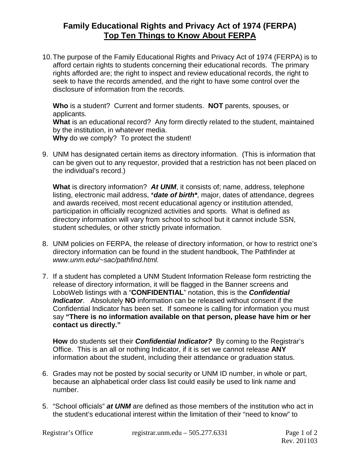## **Family Educational Rights and Privacy Act of 1974 (FERPA) Top Ten Things to Know About FERPA**

10.The purpose of the Family Educational Rights and Privacy Act of 1974 (FERPA) is to afford certain rights to students concerning their educational records. The primary rights afforded are; the right to inspect and review educational records, the right to seek to have the records amended, and the right to have some control over the disclosure of information from the records.

**Who** is a student? Current and former students. **NOT** parents, spouses, or applicants. **What** is an educational record? Any form directly related to the student, maintained by the institution, in whatever media. **Why** do we comply? To protect the student!

9. UNM has designated certain items as directory information. (This is information that can be given out to any requestor, provided that a restriction has not been placed on the individual's record.)

**What** is directory information? *At UNM*, it consists of; name, address, telephone listing, electronic mail address, \**date of birth\**, major, dates of attendance, degrees and awards received, most recent educational agency or institution attended, participation in officially recognized activities and sports. What is defined as directory information will vary from school to school but it cannot include SSN, student schedules, or other strictly private information.

- 8. UNM policies on FERPA, the release of directory information, or how to restrict one's directory information can be found in the student handbook, The Pathfinder at *www.unm.edu/~sac/pathfind.html.*
- 7. If a student has completed a UNM Student Information Release form restricting the release of directory information, it will be flagged in the Banner screens and LoboWeb listings with a "**CONFIDENTIAL**" notation, this is the *Confidential Indicator*. Absolutely **NO** information can be released without consent if the Confidential Indicator has been set. If someone is calling for information you must say **"There is no information available on that person, please have him or her contact us directly."**

**How** do students set their *Confidential Indicator?* By coming to the Registrar's Office. This is an all or nothing Indicator, if it is set we cannot release **ANY** information about the student, including their attendance or graduation status.

- 6. Grades may not be posted by social security or UNM ID number, in whole or part, because an alphabetical order class list could easily be used to link name and number.
- 5. "School officials" *at UNM* are defined as those members of the institution who act in the student's educational interest within the limitation of their "need to know" to